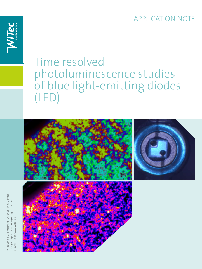APPLICATION NOTE



# Time resolved photoluminescence studies of blue light-emitting diodes (LED)



WITec GmbH, Lise-Meitner-Str. 6, 89081 Ulm, Germany WITec GmbH, Lise-Meitner-Str. 6, 89081 Ulm, Germany fon +49 (0) 731140 700, fax +49 (0) 731 140 70 200 fon +49 (0) 731 140 700, fax +49 (0) 731 140 70 200 info@WITec.de, www.WITec.de info@WITec.de, www.WITec.de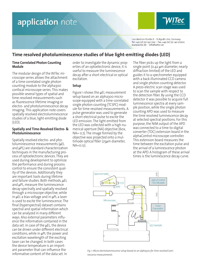### application note Lise-Meitner-Straße 6 · D-89081 Ulm, Germany Tel. +49 (0) 731 140 700 · Fax. +49 (0) 731 140 70200 www.witec.de - info@witec.de

### **Time resolved photoluminescence studies of blue light-emitting diodes (LED)**

#### **Time Correlated Photon Counting Module**

The modular design of the WITec microscope series allows the attachment of a time correlated single photon counting module to the alpha300 confocal microscope series. This makes possible several types of spatial and time-resolved measurements such as fluorescence lifetime imaging or electro- and photoluminescence decay imaging. This application note covers spatially resolved electroluminescence studies of a blue, light-emitting diode (LED).

#### **Spatially and Time-Resolved Electro- & Photoluminescence**

Spatially resolved electro- and photoluminescence measurements (μEL and μPL) are standard characterization techniques in the manufacturing process of optoelectronic devices. They are used during development to optimize the performance and during process control to ensure the consistent quality of the devices. Additionally they are important tools during lifetime and failure studies. Both methods, μEL and μPL, measure the luminescence decay spectrally and spatially resolved through a microscope objective, while in μEL a bias voltage and in μPL a laser is used to excite the luminescence. The final (hyperspectral) dataset contains spectral and spatial information which can be analyzed in many different ways. Also external parameters influence the information contained in the data set. In case of the μEL, the device can be driven under different electrical conditions, while in μPL the power and excitation wavelength of the exciting laser can be changed. In both cases the device temperature is an important parameter that can influence the informative content of the data set. In

order to investigate the dynamic properties of an optoelectronic device, it is useful to measure the luminescence decay after a short electrical or optical excitation.

#### **Setup**

Figure 1 shows the μEL measurement setup based on an alpha300 microscope equipped with a time-correlated single photon counting (TCSPC) module for time-resolved measurements. A pulse generator was used to generate a short electrical pulse to excite the LED emission. The light emitted from the LED was collected with a high numerical aperture (NA) objective (60x, NA= 0.7). The image formed by the objective was projected onto a multimode optical fiber (25μm diameter, NA=0.12).

The fiber picks up the light from a single point (0.42 μm diameter, nearly diffraction limited) of the LED and guides it to a spectrometer equipped with a back-illuminated CCD camera and single photon counting detector. A piezo-electric scan stage was used to scan the sample with respect to the detection fiber. By using the CCD detector it was possible to acquire full luminescence spectra at every sample position, while the single photon counting APD was used to measure the time resolved luminescence decay at selected spectral positions. For this purpose, the NIM output of the APD was connected to a time-to-digital converter (TDC) extension board in the alphaControl microscope controller. This extension board measures the time between the excitation pulse and the arrival of a luminescence photon at the APD. A histogram of these arrival times is the luminescence decay curve.



*Fig. 1: Micro electroluminescence setup based on an alpha300 for time resolved luminescence measurements*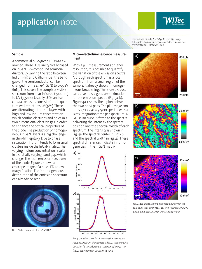### application note



60 kcts

Lise-Meitner-Straße 6 · D-89081 Ulm, Germany Tel. +49 (0) 731 140 700 · Fax. +49 (0) 731 140 70200 www.witec.de - info@witec.de

a)

#### **Sample**

A commercial blue/green LED was examined. These LEDs are typically based on InGaN III-V-compound semiconductors. By varying the ratio between Indium (In) and Gallium (Ga) the band gap of the semiconductor can be changed from 3.49 eV (GaN) to 0.65 eV (InN). This covers the complete visible spectrum from near infrared (1900nm) to UV (355nm). Usually LEDs and semiconductor lasers consist of multi quantum well structures (MQWs). These are alternating ultra-thin layers with high and low indium concentration which confine electrons and holes in a two dimensional electron gas in order to enhance the optical properties of the diode. The production of homogeneous InGaN layers is a big challenge in thin-film epitaxy. Due to phase separation, Indium tends to form small clusters inside the InGaN matrix. The varying Indium concentration results in a spatially varying band gap, which changes the local emission spectrum of the diode. Figure 2 shows a microscope image of a blue LED at low magnification. The inhomogeneous distribution of the emission spectrum can already be seen.



Fig. 2: Video image of blue InGaN LED

#### **Micro-electroluminescence measurement**

With a **μEL** measurement at higher resolution, it is possible to quantify the variation of the emission spectra. Although each spectrum is a local spectrum from a small region of the sample, it already shows inhomogeneous broadening. Therefore a Gaussian curve fit is a good approximation for the emission spectra (Fig. 3a-b). Figure 4a-c show the region between the two bond pads. The μEL image contains 270 x 270 = 72900 spectra with a 12ms integration time per spectrum. A Gaussian curve is fitted to the spectra delivering the intensity, the spectral position and the spectral width of each spectrum. The intensity is shown in Fig. 4a, the spectral center in Fig. 4b and the spectral width in Fig. 4c. These spectral differences indicate inhomogeneities in the InGaN matrix.



28 kcts  $10.1<sub>W</sub>$ b)  $2.625 eV$ 2.595 eV c)96 meV

*Fig. 4: μEL measurement at the region between the two bond pads on the LED. 4a: Total Intensity 270x270 pixels; 90x90μm; b): Peak Shift; c): Peak Width*

89 meV

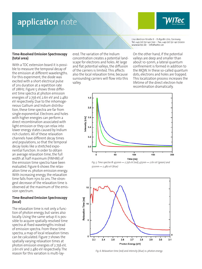### application note

Lise-Meitner-Straße 6 · D-89081 Ulm, Germany Tel. +49 (0) 731 140 700 · Fax. +49 (0) 731 140 70200 www.witec.de - info@witec.de

#### **Time-Resolved Emission Spectroscopy (total area)**

With a TDC extension board it is possible to measure the temporal decay of the emission at different wavelengths. For this experiment, the diode was excited with a short electrical pulse of 2ns duration at a repetition rate of 2MHz. Figure 5 shows three different time spectra at photon emission energies of 2.756 eV, 2.611 eV and 2.480 eV respectively. Due to the inhomogeneous Gallium and Indium distribution, these time spectra are far from single exponential. Electrons and holes with higher energies can perform a direct recombination associated with light emission or they can relax into lower energy states caused by Indium rich clusters. All of these relaxation channels have different decay times and populations, so that the temporal decay looks like a stretched exponential function. In order to obtain an average relaxation time, the full width at half maximum (FWHM) of the emission time spectra have been evaluated. Figure 6 shows the relaxation time vs. photon emission energy. With increasing energy, the relaxation time falls from 15ns to 2ns. The strongest decrease of the relaxation time is observed at the maximum of the emission spectrum.

#### **Time-Resolved Emission Spectroscopy (local)**

The relaxation time is not only a function of photon energy, but varies also locally. Using the same setup it is possible to acquire spatially-resolved time spectra at fixed wavelengths instead of emission spectra. From these time spectra, a map of local relaxation times can be calculated. Figure 7 shows the spatially varying relaxation times at photon emission energies of 2.756 eV, 2.611 eV and 2.480 eV respectively. The reason for this variation is multi-layered. The variation of the Indium concentration creates a potential landscape for electrons and holes. At large and flat potential valleys, the diffusion of the carriers is limited. This affects also the local relaxation time, because surrounding carriers will flow into this valley.

On the other hand, if the potential valleys are deep and smaller than about 10-50nm, a lateral quantum confinement is formed in addition to the MQW. In these so-called quantum dots, electrons and holes are trapped. This localization process increases the lifetime of the direct electron-hole recombination dramatically.



*Fig. 5: Time spectra @ 450nm ↔ 2.756 eV (red), 475nm ↔ 2.611 eV (green) and 500nm ↔ 2.480 eV (blue)*



*Fig. 6: Relaxation time (red) and intensity (blue) vs. photon energy*